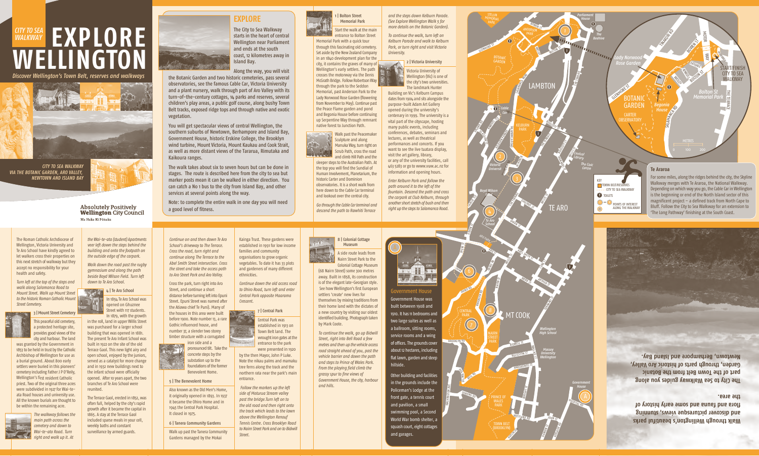*Discover Wellington's Town Belt, reserves and walkways*

# **EXPLORE WELLINGTON** *WALKWAY*



*CITY TO SEA WALKWAY VIA THE BOTANIC GARDEN, ARO VALLEY, NEWTOWN AND ISLAND BAY*



**Absolutely Positively Wellington City Council** Me Heke Ki Põneke

# **EXPLORE**

The City to Sea Walkway starts in the heart of central Wellington near Parliament and ends at the south coast, 12 kilometres away in Island Bay.

Along the way, you will visit

the Botanic Garden and two historic cemeteries, pass several observatories, see the famous Cable Car, Victoria University and a plant nursery, walk through part of Aro Valley with its turn-of-the-century cottages, 14 parks and reserves, several children's play areas, a public golf course, along bushy Town Belt tracks, exposed ridge tops and through native and exotic vegetation.

You will get spectacular views of central Wellington, the southern suburbs of Newtown, Berhampore and Island Bay, Government House, historic Erskine College, the Brooklyn wind turbine, Mount Victoria, Mount Kaukau and Cook Strait, as well as more distant views of the Tararua, Rimutaka and Kaikoura ranges.

The walk takes about six to seven hours but can be done in stages. The route is described here from the city to sea but marker posts mean it can be walked in either direction. You can catch a No 1 bus to the city from Island Bay, and other services at several points along the way.

Note: to complete the entire walk in one day you will need a good level of fitness.

*Continue on and then down Te Aro School's driveway to The Terrace. Cross the road, turn right and continue along The Terrace to the Abel Smith Street intersection. Cross the street and take the access path to Aro Street Park and Aro Valley.*

Cross the park, turn right into Aro Street, and continue a short distance before turning left into Epuni Street. Epuni Street was named after the Atiawa chief Te Puni). Many of the houses in this area were built before 1900. Note number 13, a rare Gothic influenced house, and number 37, a slender two storey timber structure with a corrugated

iron side and a pronounced tilt. Take the concrete steps by the substation up to the foundations of the former







Also known as the Old Men's Home, it originally opened in 1893. In 1937 it became the Ohiro Home and in 1945 the Central Park Hospital. It closed in 1975.

6 | Tanera Community Gardens

Walk up past the Tanera Community Gardens managed by the Mokai



*Continue down the old access road to Ohiro Road, turn left and enter Central Park opposite Maarama Crescent.*

## 7 | Central Park

Central Park was established in 1913 on Town Belt land. The wrought iron gates at the entrance to the park

were presented in 1920 by the then Mayor, John P Luke. Note the nikau palms and mamaku tree ferns along the track and the northern rata near the park's main entrance.

*Follow the markers up the left side of Moturua Stream valley past the bridge.Turn left on to the old road and then right onto the track which leads to the lawn above the Wellington Renouf Tennis Centre. Cross Brooklyn Road to Nairn Street Park and on to Bidwill Street.*

**Walk through Wellington's beautiful parks and discover picturesque views, stunning flora and fauna and some early history of the area.**

**The City to Sea Walkway guides you along part of the Town Belt from the Botanic , Valley Aro historic of parts through Garden, Newtown, Berhampore and Island Bay.**



**HATON** TCE

WASHINGTON AVF

Colonial Cottage Museum (68 Nairn Street) some 300 metres away. Built in 1858, its construction is of the elegant late-Georgian style. See how Wellington's first European settlers 'create' new lives for themselves by mixing traditions from their home land with the dictates of a new country by visiting our oldest identified building. Photograph taken by Mark Coote.

*To continue the walk, go up Bidwill Street, right into Bell Road a few metres and then up the vehicle access road straight ahead of you, past the vehicle barrier and down the path and steps to Prince of Wales Park. From the playing field climb the grassy spur to fine views of Government House, thecity, harbour and hills.*



Start the walk at the main entrance to Bolton Street Memorial Park with a quick tour through this fascinating old cemetery. Set aside by the New Zealand Company in an 1840 development plan for the city, it contains the graves of many of Wellington's early settlers. The path crosses the motorway via the Denis McGrath Bridge. Follow Robertson Way through the park to the Seddon

Memorial, past Anderson Park to the Lady Norwood Rose Garden (flowering from November to May). Continue past the Peace Flame garden and pond and Begonia House before continuing up Serpentine Way through remnant native forest to Junction Path.





sleeper steps to the Australian Path. At the top you will find the Sundial of Human Involvement, Planetarium, the historic Carter and Dominion observatories. It is a short walk from here down to the Cable Car terminal and lookout over the central city.

*Go through the Cable Car terminal and descend the path to Rawhiti Terrace*

*and the steps down Kelburn Parade. (See Explore Wellington Walk 5 for more details on the Botanic Garden).*

*To continue the walk, turn left on Kelburn Parade and walk to Kelburn Park, or turn right and visit Victoria University.*

2 | Victoria University

Victoria University of Wellington (Vic) is one of the city's two universities. The landmark Hunter

Building on Vic's Kelburn Campus dates from 1904 and sits alongside the purpose-built Adam Art Gallery opened during the university's centenary in 1999. The university is a vital part of the cityscape, hosting many public events, including conferences, debates, seminars and lectures, as well as theatrical performances and concerts. If you want to see the live tuatara display, visit the art gallery, library, or any of the university facilities, call 463 5283 or go to www.vuw.ac.nz for information and opening hours.

*Enter Kelburn Park and follow the path around it to the left of the fountain. Descend the path and cross the carpark at Club Kelburn, through another short stretch of bush and then right up the steps to Salamanca Road.*

H **STEP** Fifth Le

ANDERSON

*Parliament House*

*The*

6

PARK

**BELL RD** 

DORKING RD

TOWN BELT (BROOKLYN)

**HUTCHISON** 

HANGON ST

ADELAIDE RO

LEVINA

EPUNI ST

**FAIRLIE** 

DEVON<sub>ST</sub>

OHIRO RD

BROOKLYN RD

## Government House Government House was built between 1908 and

1910. It has 11 bedrooms and two large suites as well as a ballroom, sitting rooms, service rooms and a wing of offices. The grounds cover about 12 hectares, including flat lawn, garden and steep hillside.

Other building and facilities in the grounds include the Policeman's Lodge at the front gate, a tennis court and pavilion, a small swimming pool, a Second World War bomb shelter, a squash court, eight cottages and garages.



MEMORIAL PARK

BOWEN<sub>ST</sub>

The Roman Catholic Archdiocese of Wellington, Victoria University and Te Aro School have kindly agreed to let walkers cross their properties on this next stretch of walkway but they accept no responsibility for your health and safety.

*Turn left at the top of the steps and walk along Salamanca Road to Mount Street. Walk up Mount Street to the historic Roman Catholic Mount Street Cemetery.*

> 3 | Mount Street Cemetery This peaceful old cemetery, a protected heritage site, provides good views of the





city and harbour. The land was granted by the Government in 1853 to be held in trust by the Catholic Archbishop of Wellington for use as a burial ground. About 800 early settlers were buried in this pioneers' cemetery including Father J P O'Reily, Wellington's first resident Catholic priest. Two of the original three acres were subdivided in 1927 for Wai-teata Road houses and university use. All the known burials are thought to be within the remaining acre.

*cemetery and down to*



*the Wai-te-ata (student) Apartments veer left down the steps behind the building and onto the footpath on the outside edge of the carpark.*

*Walk down the road past the rugby gymnasium and along the path beside Boyd Wilson Field. Turn left down to Te Aro School.*

#### 4 | Te Aro School

In 1854 Te Aro School was opened on Ghuznee Street with 117 students. In 1879, with the growth

in the roll, land in upper Willis Street was purchased for a larger school building that was opened in 1881. The present Te Aro Infant School was built in 1922 on the site of the old Terrace Gaol. This new light airy and open school, enjoyed by the juniors, served as a catalyst for more change and in 1932 new buildings next to the infant school were officially opened. After 10 years apart, the two branches of Te Aro School were reunited.

The Terrace Gaol, erected in 1852, was often full, helped by the city's rapid growth after it became the capital in 1865. A stay at the Terrace Gaol included sparse meals in your cell, weekly baths and constant surveillance by armed guards.



1